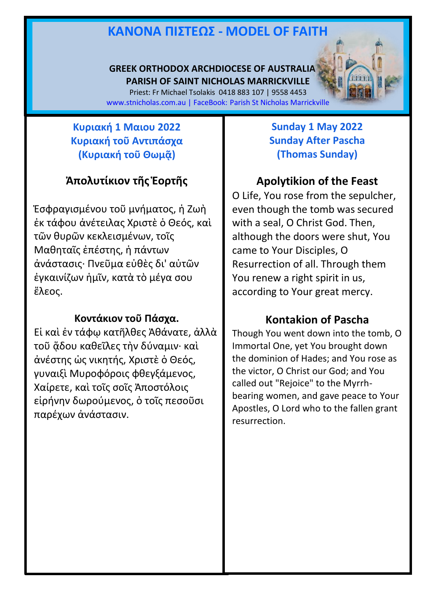# **ΚΑΝOΝΑ ΠIΣΤΕΩΣ - MODEL OF FAITH**

#### **GREEK ORTHODOX ARCHDIOCESE OF AUSTRALIA PARISH OF SAINT NICHOLAS MARRICKVILLE**

Priest: Fr Michael Tsolakis 0418 883 107 | 9558 4453 [www.stnicholas.com.au](http://www.stnicholas.com.au/) | FaceBook: Parish St Nicholas Marrickville

### **Κυριακή 1 Μαιου 2022 Κυριακή τοῦ Αντιπάσχα (Κυριακή τοῦ Θωμᾷ)**

## **Ἀπολυτίκιον τῆς Ἑορτῆς**

Ἐσφραγισμένου τοῦ μνήματος, ἡ Ζωὴ ἐκ τάφου ἀνέτειλας Χριστὲ ὁ Θεός, καὶ τῶν θυρῶν κεκλεισμένων, τοῖς Μαθηταῖς ἐπέστης, ἡ πάντων ἀνάστασις· Πνεῦμα εὐθὲς δι' αὐτῶν ἐγκαινίζων ἡμῖν, κατὰ τὸ μέγα σου ἔλεος.

#### **Κοντάκιον τοῦ Πάσχα.**

Εἰ καὶ ἐν τάφῳ κατῆλθες Ἀθάνατε, ἀλλὰ τοῦ ᾅδου καθεῖλες τὴν δύναμιν· καὶ ἀνέστης ὡς νικητής, Χριστὲ ὁ Θεός, γυναιξὶ Μυροφόροις φθεγξάμενος, Χαίρετε, καὶ τοῖς σοῖς Ἀποστόλοις εἰρήνην δωρούμενος, ὁ τοῖς πεσοῦσι παρέχων ἀνάστασιν.

### **Sunday 1 May 2022 Sunday After Pascha (Thomas Sunday)**

## **Apolytikion of the Feast**

O Life, You rose from the sepulcher, even though the tomb was secured with a seal, O Christ God. Then, although the doors were shut, You came to Your Disciples, O Resurrection of all. Through them You renew a right spirit in us, according to Your great mercy.

## **Kontakion of Pascha**

Though You went down into the tomb, O Immortal One, yet You brought down the dominion of Hades; and You rose as the victor, O Christ our God; and You called out "Rejoice" to the Myrrhbearing women, and gave peace to Your Apostles, O Lord who to the fallen grant resurrection.

1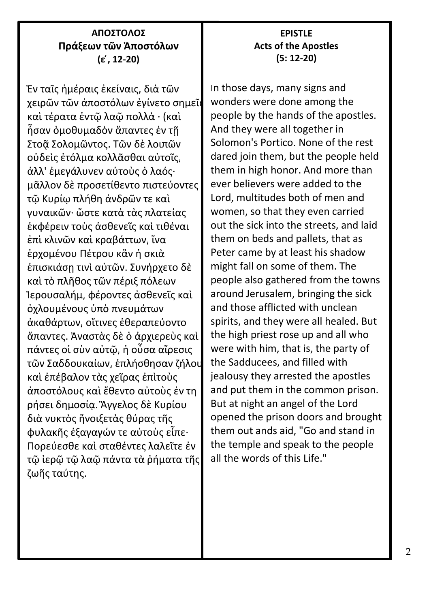#### **ΑΠΟΣΤΟΛΟΣ Πράξεων τῶν Ἀποστόλων (ε ́, 12-20)**

Ἐν ταῖς ἡμέραις ἐκείναις, διὰ τῶν χειρῶν τῶν ἀποστόλων ἐγίνετο σημεῖα καὶ τέρατα ἐντῷ λαῷ πολλὰ · (καὶ ἦσαν ὁμοθυμαδὸν ἅπαντες ἐν τῇ Στοᾷ Σολομῶντος. Τῶν δὲ λοιπῶν οὐδεὶς ἐτόλμα κολλᾶσθαι αὐτοῖς͵ ἀλλ' ἐμεγάλυνεν αὐτοὺς ὁ λαός· μᾶλλον δὲ προσετίθεντο πιστεύοντες τῷ Κυρίῳ πλήθη ἀνδρῶν τε καὶ γυναικῶν· ὥστε κατὰ τὰς πλατείας ἐκφέρειν τοὺς ἀσθενεῖς καὶ τιθέναι ἐπὶ κλινῶν καὶ κραβάττων͵ ἵνα ἐρχομένου Πέτρου κἂν ἡ σκιὰ έπισκιάση τινὶ αὐτῶν. Συνήρχετο δὲ καὶ τὸ πλῆθος τῶν πέριξ πόλεων Ἰερουσαλήμ͵ φέροντες ἀσθενεῖς καὶ ὀχλουμένους ὑπὸ πνευμάτων ἀκαθάρτων͵ οἵτινες ἐθεραπεύοντο ἅπαντες. Ἀναστὰς δὲ ὁ ἀρχιερεὺς καὶ πάντες οἱ σὺν αὐτῷ͵ ἡ οὖσα αἵρεσις τῶν Σαδδουκαίων͵ ἐπλήσθησαν ζήλου καὶ ἐπέβαλον τὰς χεῖρας ἐπὶτοὺς ἀποστόλους καὶ ἔθεντο αὐτοὺς ἐν τη ρήσει δημοσίᾳ. Ἄγγελος δὲ Κυρίου διὰ νυκτὸς ἤνοιξετὰς θύρας τῆς φυλακῆς ἐξαγαγών τε αὐτοὺς εἶπε· Πορεύεσθε καὶ σταθέντες λαλεῖτε ἐν τῷ ἱερῷ τῷ λαῷ πάντα τὰ ῥήματα τῆς ζωῆς ταύτης.

#### **EPISTLE Acts of the Apostles (5: 12-20)**

In those days, many signs and wonders were done among the people by the hands of the apostles. And they were all together in Solomon's Portico. None of the rest dared join them, but the people held them in high honor. And more than ever believers were added to the Lord, multitudes both of men and women, so that they even carried out the sick into the streets, and laid them on beds and pallets, that as Peter came by at least his shadow might fall on some of them. The people also gathered from the towns around Jerusalem, bringing the sick and those afflicted with unclean spirits, and they were all healed. But the high priest rose up and all who were with him, that is, the party of the Sadducees, and filled with jealousy they arrested the apostles and put them in the common prison. But at night an angel of the Lord opened the prison doors and brought them out ands aid, "Go and stand in the temple and speak to the people all the words of this Life."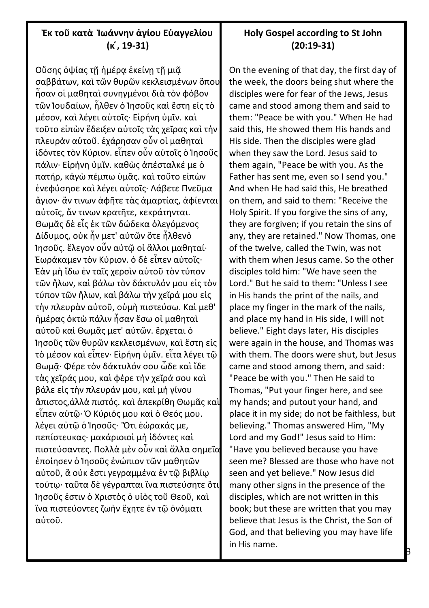#### **Ἐκ τοῦ κατὰ Ἰωάννην ἁγίου Εὐαγγελίου (κ ́, 19-31)**

Οὔσης όψίας τῆ ἡμέρα ἐκείνη τῆ μιᾶ σαββάτων, καὶ τῶν θυρῶν κεκλεισμένων ὅπου ἦσαν οἱ μαθηταὶ συνηγμένοι διὰ τὸν φόβον τῶν Ἰουδαίων, ἦλθεν ὁ Ἰησοῦς καὶ ἔστη εἰς τὸ μέσον, καὶ λέγει αὐτοῖς· Εἰρήνη ὑμῖν. καὶ τοῦτο εἰπὼν ἔδειξεν αὐτοῖς τὰς χεῖρας καὶ τὴν πλευρὰν αὐτοῦ. ἐχάρησαν οὖν οἱ μαθηταὶ ἰδόντες τὸν Κύριον. εἶπεν οὖν αὐτοῖς ὁ Ἰησοῦς πάλιν· Εἰρήνη ὑμῖν. καθὼς ἀπέσταλκέ με ὁ πατήρ, κἀγὼ πέμπω ὑμᾶς. καὶ τοῦτο εἰπὼν ἐνεφύσησε καὶ λέγει αὐτοῖς· Λάβετε Πνεῦμα ἅγιον· ἄν τινων ἀφῆτε τὰς ἁμαρτίας, ἀφίενται αὐτοῖς, ἄν τινων κρατῆτε, κεκράτηνται. Θωμᾶς δὲ εἷς ἐκ τῶν δώδεκα ὁλεγόμενος Δίδυμος, οὐκ ἦν μετ' αὐτῶν ὅτε ἦλθενὁ Ἰησοῦς. ἔλεγον οὖν αὐτῷ οἱ ἄλλοι μαθηταί· Ἑωράκαμεν τὸν Κύριον. ὁ δὲ εἶπεν αὐτοῖς· Ἐὰν μὴ ἴδω ἐν ταῖς χερσὶν αὐτοῦ τὸν τύπον τῶν ἥλων, καὶ βάλω τὸν δάκτυλόν μου εἰς τὸν τύπον τῶν ἥλων, καὶ βάλω τὴν χεῖρά μου εἰς τὴν πλευρὰν αὐτοῦ, οὐμὴ πιστεύσω. Καὶ μεθ' ἡμέρας ὀκτὼ πάλιν ἦσαν ἔσω οἱ μαθηταὶ αὐτοῦ καὶ Θωμᾶς μετ' αὐτῶν. ἔρχεται ὁ Ἰησοῦς τῶν θυρῶν κεκλεισμένων, καὶ ἔστη εἰς τὸ μέσον καὶ εἶπεν· Εἰρήνη ὑμῖν. εἶτα λέγει τῷ Θωμᾷ· Φέρε τὸν δάκτυλόν σου ὧδε καὶ ἴδε τὰς χεῖράς μου, καὶ φέρε τὴν χεῖρά σου καὶ βάλε εἰς τὴν πλευράν μου, καὶ μὴ γίνου ἄπιστος,ἀλλὰ πιστός. καὶ ἀπεκρίθη Θωμᾶς καὶ εἶπεν αὐτῷ· Ὁ Κύριός μου καὶ ὁ Θεός μου. λέγει αὐτῷ ὁ Ἰησοῦς· Ὅτι ἑώρακάς με, πεπίστευκας· μακάριοιοἱ μὴ ἰδόντες καὶ πιστεύσαντες. Πολλὰ μὲν οὖν καὶ ἄλλα σημεῖα ἐποίησεν ὁ Ἰησοῦς ἐνώπιον τῶν μαθητῶν αὐτοῦ, ἃ οὐκ ἔστι γεγραμμένα ἐν τῷ βιβλίῳ τούτῳ· ταῦτα δὲ γέγραπται ἵνα πιστεύσητε ὅτι Ἰησοῦς ἐστιν ὁ Χριστὸς ὁ υἱὸς τοῦ Θεοῦ, καὶ ἵνα πιστεύοντες ζωὴν ἔχητε ἐν τῷ ὀνόματι αὐτοῦ.

#### **Holy Gospel according to St John (20:19-31)**

On the evening of that day, the first day of the week, the doors being shut where the disciples were for fear of the Jews, Jesus came and stood among them and said to them: "Peace be with you." When He had said this, He showed them His hands and His side. Then the disciples were glad when they saw the Lord. Jesus said to them again, "Peace be with you. As the Father has sent me, even so I send you." And when He had said this, He breathed on them, and said to them: "Receive the Holy Spirit. If you forgive the sins of any, they are forgiven; if you retain the sins of any, they are retained." Now Thomas, one of the twelve, called the Twin, was not with them when Jesus came. So the other disciples told him: "We have seen the Lord." But he said to them: "Unless I see in His hands the print of the nails, and place my finger in the mark of the nails, and place my hand in His side, I will not believe." Eight days later, His disciples were again in the house, and Thomas was with them. The doors were shut, but Jesus came and stood among them, and said: "Peace be with you." Then He said to Thomas, "Put your finger here, and see my hands; and putout your hand, and place it in my side; do not be faithless, but believing." Thomas answered Him, "My Lord and my God!" Jesus said to Him: "Have you believed because you have seen me? Blessed are those who have not seen and yet believe." Now Jesus did many other signs in the presence of the disciples, which are not written in this book; but these are written that you may believe that Jesus is the Christ, the Son of God, and that believing you may have life in His name.